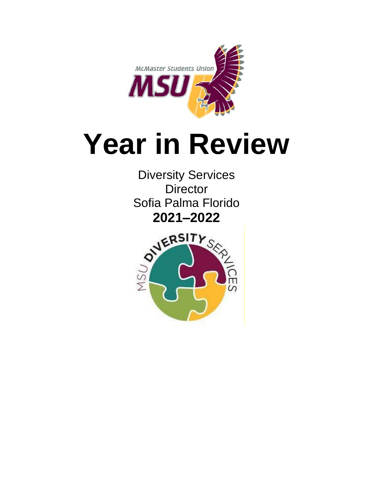

# **Year in Review**

Diversity Services **Director** Sofia Palma Florido

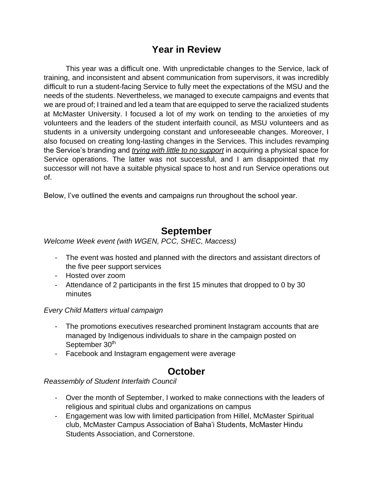# **Year in Review**

This year was a difficult one. With unpredictable changes to the Service, lack of training, and inconsistent and absent communication from supervisors, it was incredibly difficult to run a student-facing Service to fully meet the expectations of the MSU and the needs of the students. Nevertheless, we managed to execute campaigns and events that we are proud of; I trained and led a team that are equipped to serve the racialized students at McMaster University. I focused a lot of my work on tending to the anxieties of my volunteers and the leaders of the student interfaith council, as MSU volunteers and as students in a university undergoing constant and unforeseeable changes. Moreover, I also focused on creating long-lasting changes in the Services. This includes revamping the Service's branding and *trying with little to no support* in acquiring a physical space for Service operations. The latter was not successful, and I am disappointed that my successor will not have a suitable physical space to host and run Service operations out of.

Below, I've outlined the events and campaigns run throughout the school year.

## **September**

*Welcome Week event (with WGEN, PCC, SHEC, Maccess)*

- The event was hosted and planned with the directors and assistant directors of the five peer support services
- Hosted over zoom
- Attendance of 2 participants in the first 15 minutes that dropped to 0 by 30 minutes

*Every Child Matters virtual campaign*

- The promotions executives researched prominent Instagram accounts that are managed by Indigenous individuals to share in the campaign posted on September 30<sup>th</sup>
- Facebook and Instagram engagement were average

# **October**

*Reassembly of Student Interfaith Council*

- Over the month of September, I worked to make connections with the leaders of religious and spiritual clubs and organizations on campus
- Engagement was low with limited participation from Hillel, McMaster Spiritual club, McMaster Campus Association of Baha'i Students, McMaster Hindu Students Association, and Cornerstone.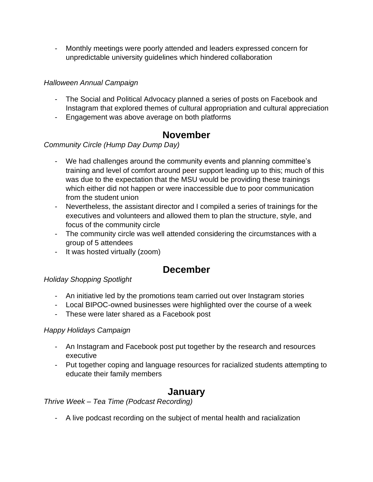- Monthly meetings were poorly attended and leaders expressed concern for unpredictable university guidelines which hindered collaboration

## *Halloween Annual Campaign*

- The Social and Political Advocacy planned a series of posts on Facebook and Instagram that explored themes of cultural appropriation and cultural appreciation
- Engagement was above average on both platforms

## **November**

## *Community Circle (Hump Day Dump Day)*

- We had challenges around the community events and planning committee's training and level of comfort around peer support leading up to this; much of this was due to the expectation that the MSU would be providing these trainings which either did not happen or were inaccessible due to poor communication from the student union
- Nevertheless, the assistant director and I compiled a series of trainings for the executives and volunteers and allowed them to plan the structure, style, and focus of the community circle
- The community circle was well attended considering the circumstances with a group of 5 attendees
- It was hosted virtually (zoom)

# **December**

## *Holiday Shopping Spotlight*

- An initiative led by the promotions team carried out over Instagram stories
- Local BIPOC-owned businesses were highlighted over the course of a week
- These were later shared as a Facebook post

#### *Happy Holidays Campaign*

- An Instagram and Facebook post put together by the research and resources executive
- Put together coping and language resources for racialized students attempting to educate their family members

# **January**

*Thrive Week – Tea Time (Podcast Recording)*

- A live podcast recording on the subject of mental health and racialization